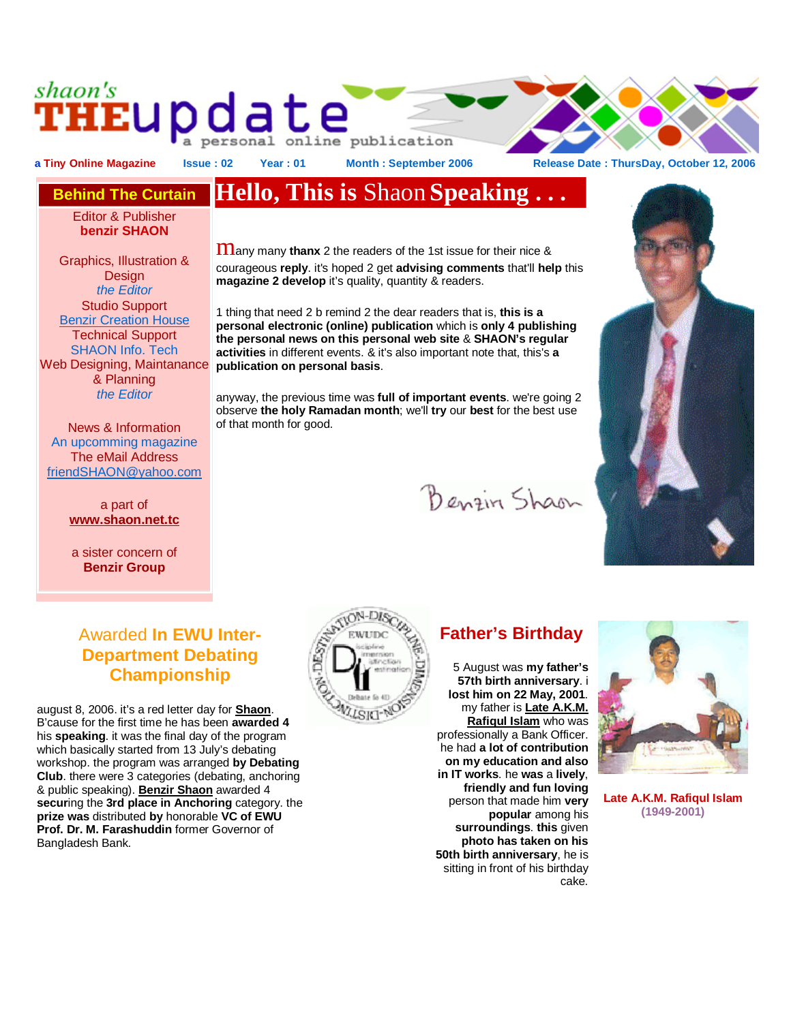## shaon's **HEUP date** a personal online publication

a Tiny Online Magazine Issue : 02 Year : 01 Month : September 2006 Release Date : ThursDay, October 12, 2006

Editor & Publisher **benzir SHAON**

Graphics, Illustration & **Design** *the Editor*  Studio Support Benzir Creation House Technical Support SHAON Info. Tech Web Designing, Maintanance & Planning *the Editor*

News & Information An upcomming magazine The eMail Address [friendSHAON@yahoo.com](mailto:friendSHAON@yahoo.com)

> a part of **[www.shaon.net.tc](http://www.shaon.net.tc)**

a sister concern of **Benzir Group**

## Awarded **In EWU Inter-Department Debating Championship**

august 8, 2006. it's a red letter day for **Shaon**. B'cause for the first time he has been **awarded 4**  his **speaking**. it was the final day of the program which basically started from 13 July's debating workshop. the program was arranged **by Debating Club**. there were 3 categories (debating, anchoring & public speaking). **Benzir Shaon** awarded 4 **secur**ing the **3rd place in Anchoring** category. the **prize was** distributed **by** honorable **VC of EWU Prof. Dr. M. Farashuddin** former Governor of Bangladesh Bank.



## **Father's Birthday**

Benzin Shaon

5 August was **my father's 57th birth anniversary**. i **lost him on 22 May, 2001**. my father is **Late A.K.M. Rafiqul Islam** who was professionally a Bank Officer. he had **a lot of contribution on my education and also in IT works**. he **was** a **lively**, **friendly and fun loving** person that made him **very popular** among his **surroundings**. **this** given **photo has taken on his 50th birth anniversary**, he is sitting in front of his birthday cake.



**Late A.K.M. Rafiqul Islam (1949-2001)**

# **Behind The Curtain Hello, This is** Shaon **Speaking . . .**

 $\mathbf{m}$ any many **thanx** 2 the readers of the 1st issue for their nice & courageous **reply**. it's hoped 2 get **advising comments** that'll **help** this **magazine 2 develop** it's quality, quantity & readers.

1 thing that need 2 b remind 2 the dear readers that is, **this is a personal electronic (online) publication** which is **only 4 publishing the personal news on this personal web site** & **SHAON's regular activities** in different events. & it's also important note that, this's **a publication on personal basis**.

anyway, the previous time was **full of important events**. we're going 2 observe **the holy Ramadan month**; we'll **try** our **best** for the best use of that month for good.